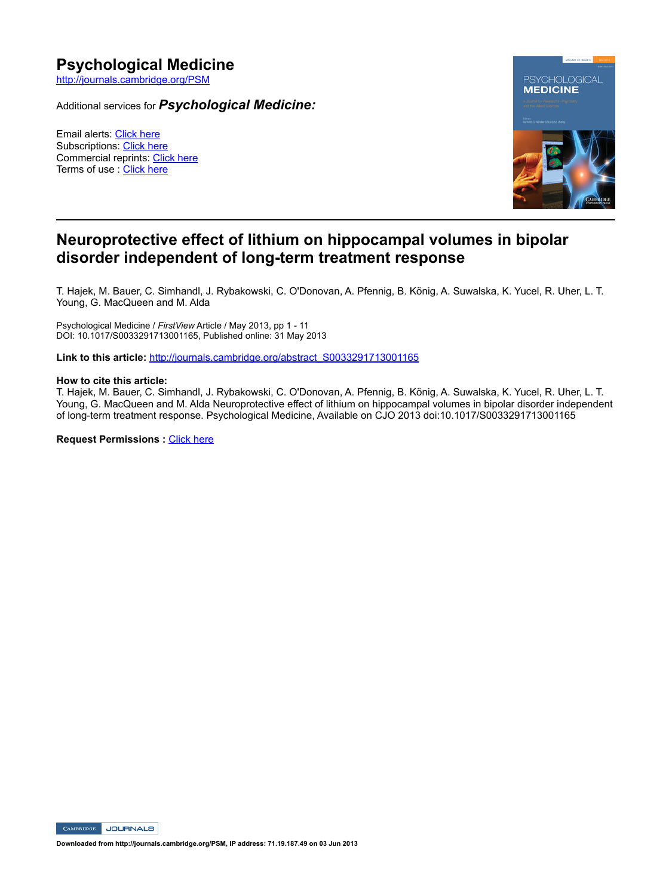# **Psychological Medicine**

http://journals.cambridge.org/PSM

Additional services for *Psychological Medicine:*

Email alerts: Click here Subscriptions: Click here Commercial reprints: Click here Terms of use : Click here



### **Neuroprotective effect of lithium on hippocampal volumes in bipolar**  disorder independent of long-term treatment response

T. Hajek, M. Bauer, C. Simhandl, J. Rybakowski, C. O'Donovan, A. Pfennig, B. König, A. Suwalska, K. Yucel, R. Uher, L. T. Young, G. MacQueen and M. Alda

Psychological Medicine / FirstView Article / May 2013, pp 1 - 11 DOI: 10.1017/S0033291713001165, Published online: 31 May 2013

**Link to this article:** http://journals.cambridge.org/abstract\_S0033291713001165

#### **How to cite this article:**

T. Hajek, M. Bauer, C. Simhandl, J. Rybakowski, C. O'Donovan, A. Pfennig, B. König, A. Suwalska, K. Yucel, R. Uher, L. T. Young, G. MacQueen and M. Alda Neuroprotective effect of lithium on hippocampal volumes in bipolar disorder independent of long-term treatment response. Psychological Medicine, Available on CJO 2013 doi:10.1017/S0033291713001165

**Request Permissions : Click here** 

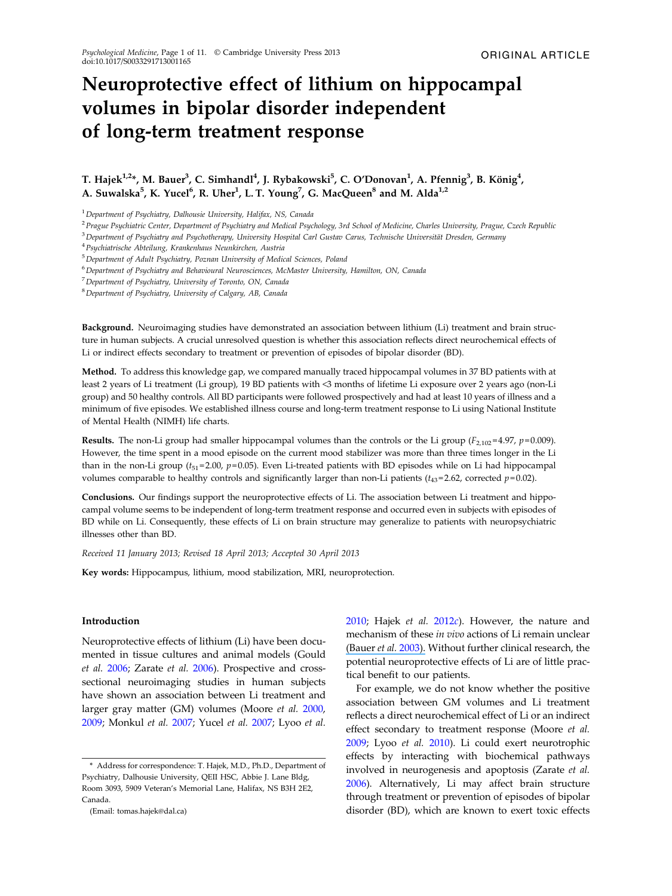## Neuroprotective effect of lithium on hippocampal volumes in bipolar disorder independent of long-term treatment response

### T. Hajek $^{1,2*}$ , M. Bauer $^3$ , C. Simhandl $^4$ , J. Rybakowski $^5$ , C. O'Donovan $^1$ , A. Pfennig $^3$ , B. König $^4$ , A. Suwalska $^5$ , K. Yucel $^6$ , R. Uher $^1$ , L. T. Young $^7$ , G. MacQueen $^8$  and M. Alda $^{1,2}$

<sup>1</sup> Department of Psychiatry, Dalhousie University, Halifax, NS, Canada

<sup>2</sup> Prague Psychiatric Center, Department of Psychiatry and Medical Psychology, 3rd School of Medicine, Charles University, Prague, Czech Republic

<sup>3</sup>Department of Psychiatry and Psychotherapy, University Hospital Carl Gustav Carus, Technische Universität Dresden, Germany

<sup>4</sup>Psychiatrische Abteilung, Krankenhaus Neunkirchen, Austria

<sup>5</sup>Department of Adult Psychiatry, Poznan University of Medical Sciences, Poland

<sup>6</sup>Department of Psychiatry and Behavioural Neurosciences, McMaster University, Hamilton, ON, Canada

<sup>7</sup>Department of Psychiatry, University of Toronto, ON, Canada

<sup>8</sup>Department of Psychiatry, University of Calgary, AB, Canada

Background. Neuroimaging studies have demonstrated an association between lithium (Li) treatment and brain structure in human subjects. A crucial unresolved question is whether this association reflects direct neurochemical effects of Li or indirect effects secondary to treatment or prevention of episodes of bipolar disorder (BD).

Method. To address this knowledge gap, we compared manually traced hippocampal volumes in 37 BD patients with at least 2 years of Li treatment (Li group), 19 BD patients with <3 months of lifetime Li exposure over 2 years ago (non-Li group) and 50 healthy controls. All BD participants were followed prospectively and had at least 10 years of illness and a minimum of five episodes. We established illness course and long-term treatment response to Li using National Institute of Mental Health (NIMH) life charts.

**Results.** The non-Li group had smaller hippocampal volumes than the controls or the Li group ( $F_{2,102}$ =4.97, p=0.009). However, the time spent in a mood episode on the current mood stabilizer was more than three times longer in the Li than in the non-Li group ( $t_{51}$ =2.00,  $p$ =0.05). Even Li-treated patients with BD episodes while on Li had hippocampal volumes comparable to healthy controls and significantly larger than non-Li patients ( $t_{43}$ =2.62, corrected  $p=0.02$ ).

Conclusions. Our findings support the neuroprotective effects of Li. The association between Li treatment and hippocampal volume seems to be independent of long-term treatment response and occurred even in subjects with episodes of BD while on Li. Consequently, these effects of Li on brain structure may generalize to patients with neuropsychiatric illnesses other than BD.

Received 11 January 2013; Revised 18 April 2013; Accepted 30 April 2013

Key words: Hippocampus, lithium, mood stabilization, MRI, neuroprotection.

#### Introduction

Neuroprotective effects of lithium (Li) have been documented in tissue cultures and animal models (Gould et al. [2006](#page-10-0); Zarate et al. [2006](#page-11-0)). Prospective and crosssectional neuroimaging studies in human subjects have shown an association between Li treatment and larger gray matter (GM) volumes (Moore et al. [2000](#page-11-0), [2009;](#page-11-0) Monkul et al. [2007;](#page-11-0) Yucel et al. [2007](#page-11-0); Lyoo et al.

(Email: tomas.hajek@dal.ca)

[2010;](#page-10-0) Hajek et al.  $2012c$  $2012c$ ). However, the nature and mechanism of these in vivo actions of Li remain unclear [\(Bauer](https://www.researchgate.net/publication/8958312_Bauer_M_Alda_M_Priller_J_Young_LT_Implications_of_the_neuroprotective_effects_of_lithium_for_the_treatment_of_bipolar_and_neurodegenerative_disorders_Pharmacopsychiatry_36Suppl_3_S250-S254?el=1_x_8&enrichId=rgreq-628da618-08ba-4a23-bdf8-9c817fd88d2a&enrichSource=Y292ZXJQYWdlOzIzNjk3NjMyMTtBUzo5ODkwOTUyNzQ3ODI3NkAxNDAwNTkzMjc3OTIy) et al. [2003\)](#page-9-0). Without further clinical research, the potential neuroprotective effects of Li are of little practical benefit to our patients.

For example, we do not know whether the positive association between GM volumes and Li treatment reflects a direct neurochemical effect of Li or an indirect effect secondary to treatment response (Moore et al. [2009;](#page-11-0) Lyoo et al. [2010](#page-10-0)). Li could exert neurotrophic effects by interacting with biochemical pathways involved in neurogenesis and apoptosis (Zarate et al. [2006\)](#page-11-0). Alternatively, Li may affect brain structure through treatment or prevention of episodes of bipolar disorder (BD), which are known to exert toxic effects

<sup>\*</sup> Address for correspondence: T. Hajek, M.D., Ph.D., Department of Psychiatry, Dalhousie University, QEII HSC, Abbie J. Lane Bldg, Room 3093, 5909 Veteran's Memorial Lane, Halifax, NS B3H 2E2, Canada.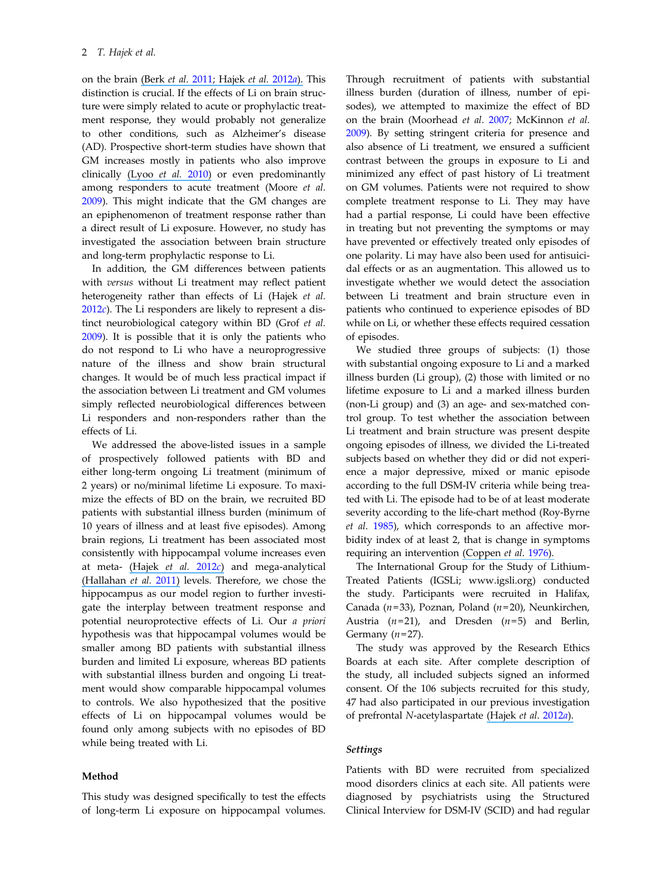on the brain (Berk et al. [2011; Hajek](https://www.researchgate.net/publication/221850531_Large_positive_effect_of_lithium_on_prefrontal_cortex_N-acetylaspartate_in_patients_with_bipolar_disorder_2-centre_study?el=1_x_8&enrichId=rgreq-628da618-08ba-4a23-bdf8-9c817fd88d2a&enrichSource=Y292ZXJQYWdlOzIzNjk3NjMyMTtBUzo5ODkwOTUyNzQ3ODI3NkAxNDAwNTkzMjc3OTIy) et al. [2012](#page-10-0)a). This distinction is crucial. If the effects of Li on brain structure were simply related to acute or prophylactic treatment response, they would probably not generalize to other conditions, such as Alzheimer's disease (AD). Prospective short-term studies have shown that GM increases mostly in patients who also improve clinically [\(Lyoo](https://www.researchgate.net/publication/42807221_Lithium-Induced_Gray_Matter_Volume_Increase_As_a_Neural_Correlate_of_Treatment_Response_in_Bipolar_Disorder_A_Longitudinal_Brain_Imaging_Study?el=1_x_8&enrichId=rgreq-628da618-08ba-4a23-bdf8-9c817fd88d2a&enrichSource=Y292ZXJQYWdlOzIzNjk3NjMyMTtBUzo5ODkwOTUyNzQ3ODI3NkAxNDAwNTkzMjc3OTIy) et al. [2010](#page-10-0)) or even predominantly among responders to acute treatment (Moore et al. [2009\)](#page-11-0). This might indicate that the GM changes are an epiphenomenon of treatment response rather than a direct result of Li exposure. However, no study has investigated the association between brain structure and long-term prophylactic response to Li.

In addition, the GM differences between patients with versus without Li treatment may reflect patient heterogeneity rather than effects of Li (Hajek et al.  $2012c$  $2012c$ ). The Li responders are likely to represent a distinct neurobiological category within BD (Grof et al. [2009\)](#page-10-0). It is possible that it is only the patients who do not respond to Li who have a neuroprogressive nature of the illness and show brain structural changes. It would be of much less practical impact if the association between Li treatment and GM volumes simply reflected neurobiological differences between Li responders and non-responders rather than the effects of Li.

We addressed the above-listed issues in a sample of prospectively followed patients with BD and either long-term ongoing Li treatment (minimum of 2 years) or no/minimal lifetime Li exposure. To maximize the effects of BD on the brain, we recruited BD patients with substantial illness burden (minimum of 10 years of illness and at least five episodes). Among brain regions, Li treatment has been associated most consistently with hippocampal volume increases even at meta- [\(Hajek](https://www.researchgate.net/publication/224004676_Smaller_hippocampal_volumes_in_patients_with_bipolar_disorder_are_masked_by_exposure_to_lithium_A_meta-analysis?el=1_x_8&enrichId=rgreq-628da618-08ba-4a23-bdf8-9c817fd88d2a&enrichSource=Y292ZXJQYWdlOzIzNjk3NjMyMTtBUzo5ODkwOTUyNzQ3ODI3NkAxNDAwNTkzMjc3OTIy) et al.  $2012c$  $2012c$ ) and mega-analytical [\(Hallahan](https://www.researchgate.net/publication/47621021_Structural_Magnetic_Resonance_Imaging_in_Bipolar_Disorder_An_International_Collaborative_MegaAnalysis_of_Individual_Adult_Patient_Data?el=1_x_8&enrichId=rgreq-628da618-08ba-4a23-bdf8-9c817fd88d2a&enrichSource=Y292ZXJQYWdlOzIzNjk3NjMyMTtBUzo5ODkwOTUyNzQ3ODI3NkAxNDAwNTkzMjc3OTIy) et al. [2011](#page-10-0)) levels. Therefore, we chose the hippocampus as our model region to further investigate the interplay between treatment response and potential neuroprotective effects of Li. Our a priori hypothesis was that hippocampal volumes would be smaller among BD patients with substantial illness burden and limited Li exposure, whereas BD patients with substantial illness burden and ongoing Li treatment would show comparable hippocampal volumes to controls. We also hypothesized that the positive effects of Li on hippocampal volumes would be found only among subjects with no episodes of BD while being treated with Li.

#### Method

This study was designed specifically to test the effects of long-term Li exposure on hippocampal volumes.

Through recruitment of patients with substantial illness burden (duration of illness, number of episodes), we attempted to maximize the effect of BD on the brain (Moorhead et al. [2007](#page-11-0); McKinnon et al. [2009\)](#page-10-0). By setting stringent criteria for presence and also absence of Li treatment, we ensured a sufficient contrast between the groups in exposure to Li and minimized any effect of past history of Li treatment on GM volumes. Patients were not required to show complete treatment response to Li. They may have had a partial response, Li could have been effective in treating but not preventing the symptoms or may have prevented or effectively treated only episodes of one polarity. Li may have also been used for antisuicidal effects or as an augmentation. This allowed us to investigate whether we would detect the association between Li treatment and brain structure even in patients who continued to experience episodes of BD while on Li, or whether these effects required cessation of episodes.

We studied three groups of subjects: (1) those with substantial ongoing exposure to Li and a marked illness burden (Li group), (2) those with limited or no lifetime exposure to Li and a marked illness burden (non-Li group) and (3) an age- and sex-matched control group. To test whether the association between Li treatment and brain structure was present despite ongoing episodes of illness, we divided the Li-treated subjects based on whether they did or did not experience a major depressive, mixed or manic episode according to the full DSM-IV criteria while being treated with Li. The episode had to be of at least moderate severity according to the life-chart method (Roy-Byrne et al. [1985\)](#page-11-0), which corresponds to an affective morbidity index of at least 2, that is change in symptoms requiring an intervention [\(Coppen](https://www.researchgate.net/publication/22371588_A_double-blind_comparison_of_lithium_carbonate_and_maprotiline_in_the_prophylaxis_of_the_affective_disorder?el=1_x_8&enrichId=rgreq-628da618-08ba-4a23-bdf8-9c817fd88d2a&enrichSource=Y292ZXJQYWdlOzIzNjk3NjMyMTtBUzo5ODkwOTUyNzQ3ODI3NkAxNDAwNTkzMjc3OTIy) et al. [1976\)](#page-9-0).

The International Group for the Study of Lithium-Treated Patients (IGSLi; www.igsli.org) conducted the study. Participants were recruited in Halifax, Canada ( $n=33$ ), Poznan, Poland ( $n=20$ ), Neunkirchen, Austria ( $n=21$ ), and Dresden ( $n=5$ ) and Berlin, Germany  $(n=27)$ .

The study was approved by the Research Ethics Boards at each site. After complete description of the study, all included subjects signed an informed consent. Of the 106 subjects recruited for this study, 47 had also participated in our previous investigation of prefrontal N-acetylaspartate [\(Hajek](https://www.researchgate.net/publication/221850531_Large_positive_effect_of_lithium_on_prefrontal_cortex_N-acetylaspartate_in_patients_with_bipolar_disorder_2-centre_study?el=1_x_8&enrichId=rgreq-628da618-08ba-4a23-bdf8-9c817fd88d2a&enrichSource=Y292ZXJQYWdlOzIzNjk3NjMyMTtBUzo5ODkwOTUyNzQ3ODI3NkAxNDAwNTkzMjc3OTIy) et al. [2012](#page-10-0)a).

#### Settings

Patients with BD were recruited from specialized mood disorders clinics at each site. All patients were diagnosed by psychiatrists using the Structured Clinical Interview for DSM-IV (SCID) and had regular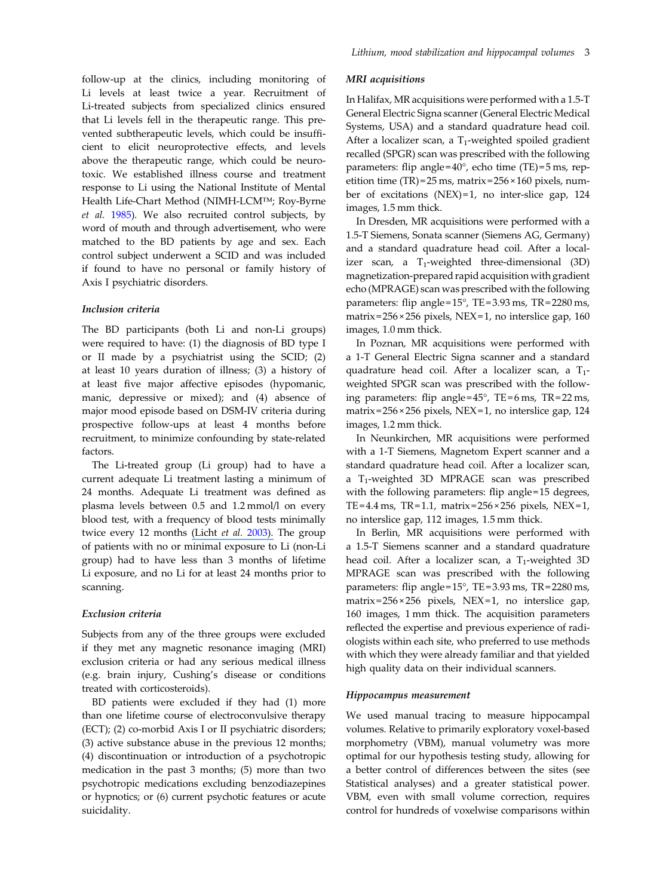follow-up at the clinics, including monitoring of Li levels at least twice a year. Recruitment of Li-treated subjects from specialized clinics ensured that Li levels fell in the therapeutic range. This prevented subtherapeutic levels, which could be insufficient to elicit neuroprotective effects, and levels above the therapeutic range, which could be neurotoxic. We established illness course and treatment response to Li using the National Institute of Mental Health Life-Chart Method (NIMH-LCM*™*; Roy-Byrne et al. [1985](#page-11-0)). We also recruited control subjects, by word of mouth and through advertisement, who were matched to the BD patients by age and sex. Each control subject underwent a SCID and was included if found to have no personal or family history of Axis I psychiatric disorders.

#### Inclusion criteria

The BD participants (both Li and non-Li groups) were required to have: (1) the diagnosis of BD type I or II made by a psychiatrist using the SCID; (2) at least 10 years duration of illness; (3) a history of at least five major affective episodes (hypomanic, manic, depressive or mixed); and (4) absence of major mood episode based on DSM-IV criteria during prospective follow-ups at least 4 months before recruitment, to minimize confounding by state-related factors.

The Li-treated group (Li group) had to have a current adequate Li treatment lasting a minimum of 24 months. Adequate Li treatment was defined as plasma levels between 0.5 and 1.2 mmol/l on every blood test, with a frequency of blood tests minimally twice every 12 months (Licht et al. [2003\).](https://www.researchgate.net/publication/10566589_Danish_Psychiatric_Association_and_the_Child_and_Adolescent_Psychiatric_Association_in_Denmark_Psychopharmacological_treatment_with_lithium_and_antiepileptic_drugs_suggested_guidelines_from_the_Danish?el=1_x_8&enrichId=rgreq-628da618-08ba-4a23-bdf8-9c817fd88d2a&enrichSource=Y292ZXJQYWdlOzIzNjk3NjMyMTtBUzo5ODkwOTUyNzQ3ODI3NkAxNDAwNTkzMjc3OTIy) The group of patients with no or minimal exposure to Li (non-Li group) had to have less than 3 months of lifetime Li exposure, and no Li for at least 24 months prior to scanning.

## Exclusion criteria

Subjects from any of the three groups were excluded if they met any magnetic resonance imaging (MRI) exclusion criteria or had any serious medical illness (e.g. brain injury, Cushing's disease or conditions treated with corticosteroids).

BD patients were excluded if they had (1) more than one lifetime course of electroconvulsive therapy (ECT); (2) co-morbid Axis I or II psychiatric disorders; (3) active substance abuse in the previous 12 months; (4) discontinuation or introduction of a psychotropic medication in the past 3 months; (5) more than two psychotropic medications excluding benzodiazepines or hypnotics; or (6) current psychotic features or acute suicidality.

#### MRI acquisitions

In Halifax, MR acquisitions were performed with a 1.5-T General Electric Signa scanner (General Electric Medical Systems, USA) and a standard quadrature head coil. After a localizer scan, a  $T_1$ -weighted spoiled gradient recalled (SPGR) scan was prescribed with the following parameters: flip angle= $40^{\circ}$ , echo time (TE)= $5 \text{ ms}$ , repetition time (TR) =  $25$  ms, matrix =  $256 \times 160$  pixels, number of excitations (NEX) = 1, no inter-slice gap, 124 images, 1.5 mm thick.

In Dresden, MR acquisitions were performed with a 1.5-T Siemens, Sonata scanner (Siemens AG, Germany) and a standard quadrature head coil. After a localizer scan, a  $T_1$ -weighted three-dimensional (3D) magnetization-prepared rapid acquisition with gradient echo (MPRAGE) scan was prescribed with the following parameters: flip angle = 15°, TE = 3.93 ms, TR = 2280 ms, matrix = 256 × 256 pixels, NEX = 1, no interslice gap, 160 images, 1.0 mm thick.

In Poznan, MR acquisitions were performed with a 1-T General Electric Signa scanner and a standard quadrature head coil. After a localizer scan, a  $T_1$ weighted SPGR scan was prescribed with the following parameters: flip angle= $45^{\circ}$ , TE=6 ms, TR=22 ms, matrix = 256 × 256 pixels, NEX = 1, no interslice gap, 124 images, 1.2 mm thick.

In Neunkirchen, MR acquisitions were performed with a 1-T Siemens, Magnetom Expert scanner and a standard quadrature head coil. After a localizer scan, a T<sub>1</sub>-weighted 3D MPRAGE scan was prescribed with the following parameters: flip angle=15 degrees, TE=4.4 ms, TR=1.1, matrix= $256 \times 256$  pixels, NEX=1, no interslice gap, 112 images, 1.5 mm thick.

In Berlin, MR acquisitions were performed with a 1.5-T Siemens scanner and a standard quadrature head coil. After a localizer scan, a  $T_1$ -weighted 3D MPRAGE scan was prescribed with the following parameters: flip angle = 15°, TE = 3.93 ms, TR = 2280 ms, matrix= $256 \times 256$  pixels, NEX=1, no interslice gap, 160 images, 1 mm thick. The acquisition parameters reflected the expertise and previous experience of radiologists within each site, who preferred to use methods with which they were already familiar and that yielded high quality data on their individual scanners.

#### Hippocampus measurement

We used manual tracing to measure hippocampal volumes. Relative to primarily exploratory voxel-based morphometry (VBM), manual volumetry was more optimal for our hypothesis testing study, allowing for a better control of differences between the sites (see Statistical analyses) and a greater statistical power. VBM, even with small volume correction, requires control for hundreds of voxelwise comparisons within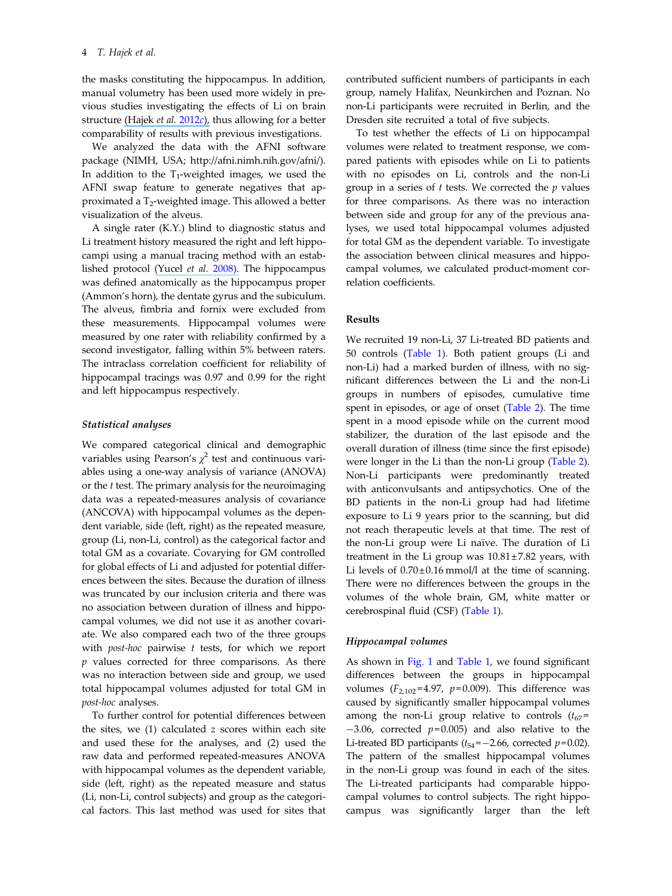the masks constituting the hippocampus. In addition, manual volumetry has been used more widely in previous studies investigating the effects of Li on brain structure [\(Hajek](https://www.researchgate.net/publication/224004676_Smaller_hippocampal_volumes_in_patients_with_bipolar_disorder_are_masked_by_exposure_to_lithium_A_meta-analysis?el=1_x_8&enrichId=rgreq-628da618-08ba-4a23-bdf8-9c817fd88d2a&enrichSource=Y292ZXJQYWdlOzIzNjk3NjMyMTtBUzo5ODkwOTUyNzQ3ODI3NkAxNDAwNTkzMjc3OTIy) et al. [2012](#page-10-0)c), thus allowing for a better comparability of results with previous investigations.

We analyzed the data with the AFNI software package (NIMH, USA; http://afni.nimh.nih.gov/afni/). In addition to the  $T_1$ -weighted images, we used the AFNI swap feature to generate negatives that approximated a T<sub>2</sub>-weighted image. This allowed a better visualization of the alveus.

A single rater (K.Y.) blind to diagnostic status and Li treatment history measured the right and left hippocampi using a manual tracing method with an established protocol [\(Yucel](https://www.researchgate.net/publication/6414597_Bilateral_Hippocampal_Volume_Increase_in_Patients_with_Bipolar_Disorder_and_Short-term_Lithium_Treatment?el=1_x_8&enrichId=rgreq-628da618-08ba-4a23-bdf8-9c817fd88d2a&enrichSource=Y292ZXJQYWdlOzIzNjk3NjMyMTtBUzo5ODkwOTUyNzQ3ODI3NkAxNDAwNTkzMjc3OTIy) et al. [2008\)](#page-11-0). The hippocampus was defined anatomically as the hippocampus proper (Ammon's horn), the dentate gyrus and the subiculum. The alveus, fimbria and fornix were excluded from these measurements. Hippocampal volumes were measured by one rater with reliability confirmed by a second investigator, falling within 5% between raters. The intraclass correlation coefficient for reliability of hippocampal tracings was 0.97 and 0.99 for the right and left hippocampus respectively.

#### Statistical analyses

We compared categorical clinical and demographic variables using Pearson's  $\chi^2$  test and continuous variables using a one-way analysis of variance (ANOVA) or the t test. The primary analysis for the neuroimaging data was a repeated-measures analysis of covariance (ANCOVA) with hippocampal volumes as the dependent variable, side (left, right) as the repeated measure, group (Li, non-Li, control) as the categorical factor and total GM as a covariate. Covarying for GM controlled for global effects of Li and adjusted for potential differences between the sites. Because the duration of illness was truncated by our inclusion criteria and there was no association between duration of illness and hippocampal volumes, we did not use it as another covariate. We also compared each two of the three groups with  $post-hoc$  pairwise  $t$  tests, for which we report  $p$  values corrected for three comparisons. As there was no interaction between side and group, we used total hippocampal volumes adjusted for total GM in post-hoc analyses.

To further control for potential differences between the sites, we  $(1)$  calculated  $z$  scores within each site and used these for the analyses, and (2) used the raw data and performed repeated-measures ANOVA with hippocampal volumes as the dependent variable, side (left, right) as the repeated measure and status (Li, non-Li, control subjects) and group as the categorical factors. This last method was used for sites that

contributed sufficient numbers of participants in each group, namely Halifax, Neunkirchen and Poznan. No non-Li participants were recruited in Berlin, and the Dresden site recruited a total of five subjects.

To test whether the effects of Li on hippocampal volumes were related to treatment response, we compared patients with episodes while on Li to patients with no episodes on Li, controls and the non-Li group in a series of  $t$  tests. We corrected the  $p$  values for three comparisons. As there was no interaction between side and group for any of the previous analyses, we used total hippocampal volumes adjusted for total GM as the dependent variable. To investigate the association between clinical measures and hippocampal volumes, we calculated product-moment correlation coefficients.

#### Results

We recruited 19 non-Li, 37 Li-treated BD patients and 50 controls [\(Table 1\)](#page-5-0). Both patient groups (Li and non-Li) had a marked burden of illness, with no significant differences between the Li and the non-Li groups in numbers of episodes, cumulative time spent in episodes, or age of onset [\(Table 2](#page-6-0)). The time spent in a mood episode while on the current mood stabilizer, the duration of the last episode and the overall duration of illness (time since the first episode) were longer in the Li than the non-Li group [\(Table 2](#page-6-0)). Non-Li participants were predominantly treated with anticonvulsants and antipsychotics. One of the BD patients in the non-Li group had had lifetime exposure to Li 9 years prior to the scanning, but did not reach therapeutic levels at that time. The rest of the non-Li group were Li naïve. The duration of Li treatment in the Li group was  $10.81 \pm 7.82$  years, with Li levels of  $0.70 \pm 0.16$  mmol/l at the time of scanning. There were no differences between the groups in the volumes of the whole brain, GM, white matter or cerebrospinal fluid (CSF) ([Table 1\)](#page-5-0).

#### Hippocampal volumes

As shown in [Fig. 1](#page-7-0) and [Table 1](#page-5-0), we found significant differences between the groups in hippocampal volumes  $(F_{2,102} = 4.97, p=0.009)$ . This difference was caused by significantly smaller hippocampal volumes among the non-Li group relative to controls  $(t_{67} =$  $-3.06$ , corrected  $p=0.005$ ) and also relative to the Li-treated BD participants ( $t_{54} = -2.66$ , corrected  $p = 0.02$ ). The pattern of the smallest hippocampal volumes in the non-Li group was found in each of the sites. The Li-treated participants had comparable hippocampal volumes to control subjects. The right hippocampus was significantly larger than the left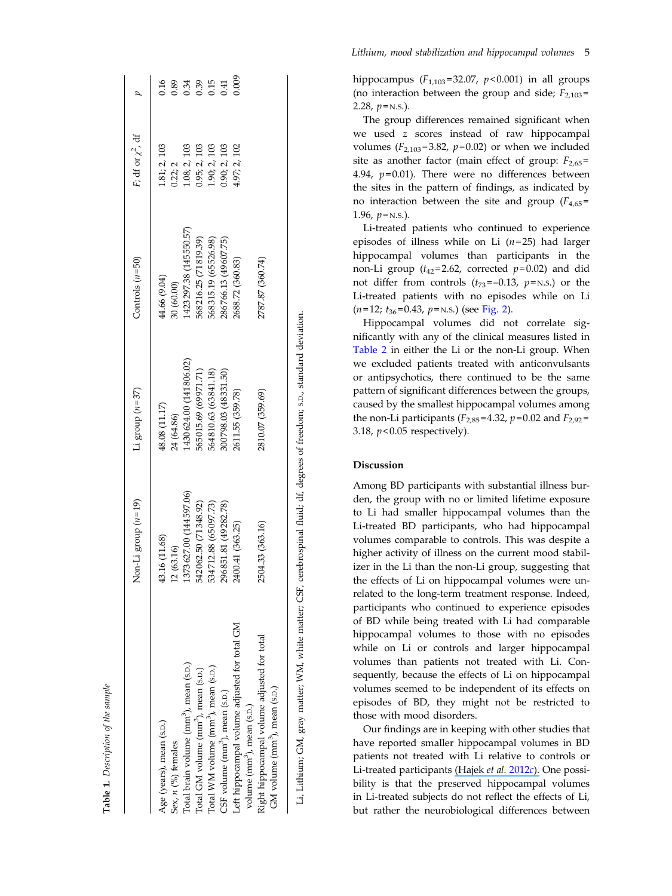<span id="page-5-0"></span>

|                                                                                          | $[on-Li]$ group $(n=19)$    | Li group $(n=37)$           | Controls $(n=50)$          | F; df or $\chi^2$ , df  |              |
|------------------------------------------------------------------------------------------|-----------------------------|-----------------------------|----------------------------|-------------------------|--------------|
| Age (years), mean (s.p.)<br>Sex, $n$ (%) females                                         | 43.16 (11.68)<br>12 (63.16) | 48.08 (11.17)<br>24 (64.86) | 44.66 (9.04)<br>30 (60.00) | 1.81; 2, 103<br>0.22; 2 | 0.16<br>0.89 |
| Total brain volume (mm <sup>3</sup> ), mean (s.p.)                                       | 1373627.00 (144597.06)      | 1430624.00 (141806.02)      | (423297.38 (145550.57)     | 1.08; 2, 103            | 0.34         |
| Total GM volume (mm <sup>3</sup> ), mean (s.p.)                                          | 542 062.50 (71 348.92)      | 565015.69 (69971.71)        | 568216.25 (71819.39)       | 0.95; 2, 103            | 0.39         |
| Total WM volume (mm <sup>3</sup> ), mean (s.p.)                                          | 534712.88 (65097.73)        | 564810.63 (63841.18)        | 568 315.19 (65526.98)      | 1.90; 2, 103            | 0.15         |
| CSF volume (mm <sup>3</sup> ), mean (s.p.)                                               | 296 851.81 (49 28 2.78)     | 300798.03 (48331.50)        | 286766.13 (49607.75)       | 0.90; 2,103             | 0.41         |
| Left hippocampal volume adjusted for total GM<br>volume (mm <sup>3</sup> ), mean (s.p.)  | 2400.41 (363.25)            | 2611.55 (359.78)            | 2688.72 (360.83)           | 1.97; 2, 102            | 0.009        |
| Right hippocampal volume adjusted for total<br>GM volume (mm <sup>3</sup> ), mean (s.p.) | 2504.33 (363.16)            | 2810.07 (359.69)            | 2787.87 (360.74)           |                         |              |
|                                                                                          |                             |                             |                            |                         |              |

Table 1. Description of the sample

Description of the sample

hippocampus  $(F_{1,103} = 32.07, p < 0.001)$  in all groups (no interaction between the group and side;  $F_{2,103}$ = 2.28*, p*=n.s.).

The group differences remained signi ficant when we used z scores instead of raw hippocampal volumes ( $F_{2,103}$ =3.82,  $p$ =0.02) or when we included site as another factor (main effect of group:  $F_{2,65}$ = 4.94,  $p$ =0.01). There were no differences between the sites in the pattern of findings, as indicated by no interaction between the site and group  $(F_{4,65} =$ 1.96,  $p =$ n.s.).

Li-treated patients who continued to experience episodes of illness while on Li  $(n=25)$  had larger hippocampal volumes than participants in the non-Li group ( $t_{42}$ =2.62, corrected  $p$ =0.02) and did not differ from controls  $(t_{73}=-0.13, p=N.S.)$  or the Li-treated patients with no episodes while on Li  $(n=12; t_{36}=0.43, p=N.S.)$  (see [Fig. 2\)](#page-7-0).

Hippocampal volumes did not correlate significantly with any of the clinical measures listed in [Table 2](#page-6-0) in either the Li or the non-Li group. When we excluded patients treated with anticonvulsants or antipsychotics, there continued to be the same pattern of signi ficant differences between the groups, caused by the smallest hippocampal volumes among the non-Li participants ( $F_{2,85}$ =4.32,  $p$ =0.02 and  $F_{2,92}$ = 3.18,  $p<0.05$  respectively).

#### Discussion

Li, Lithium; GM, gray matter; WM, white matter; CSF, cerebrospinal fluid; df, degrees of freedom; S.D., standard deviation.

.i, Lithium; GM, gray matter; WM, white matter; CSF, cerebrospinal fluid; df, degrees of freedom; s.D., standard deviation.

Among BD participants with substantial illness burden, the group with no or limited lifetime exposure to Li had smaller hippocampal volumes than the Li-treated BD participants, who had hippocampal volumes comparable to controls. This was despite a higher activity of illness on the current mood stabilizer in the Li than the non-Li group, suggesting that the effects of Li on hippocampal volumes were unrelated to the long-term treatment response. Indeed, participants who continued to experience episodes of BD while being treated with Li had comparable hippocampal volumes to those with no episodes while on Li or controls and larger hippocampal volumes than patients not treated with Li. Consequently, because the effects of Li on hippocampal volumes seemed to be independent of its effects on episodes of BD, they might not be restricted to those with mood disorders.

Our findings are in keeping with other studies that have reported smaller hippocampal volumes in BD patients not treated with Li relative to controls or Li-treated participants [\(Hajek](https://www.researchgate.net/publication/224004676_Smaller_hippocampal_volumes_in_patients_with_bipolar_disorder_are_masked_by_exposure_to_lithium_A_meta-analysis?el=1_x_8&enrichId=rgreq-628da618-08ba-4a23-bdf8-9c817fd88d2a&enrichSource=Y292ZXJQYWdlOzIzNjk3NjMyMTtBUzo5ODkwOTUyNzQ3ODI3NkAxNDAwNTkzMjc3OTIy) *et al. [2012](#page-10-0)c*). One possibility is that the preserved hippocampal volumes in Li-treated subjects do not re flect the effects of Li, but rather the neurobiological differences between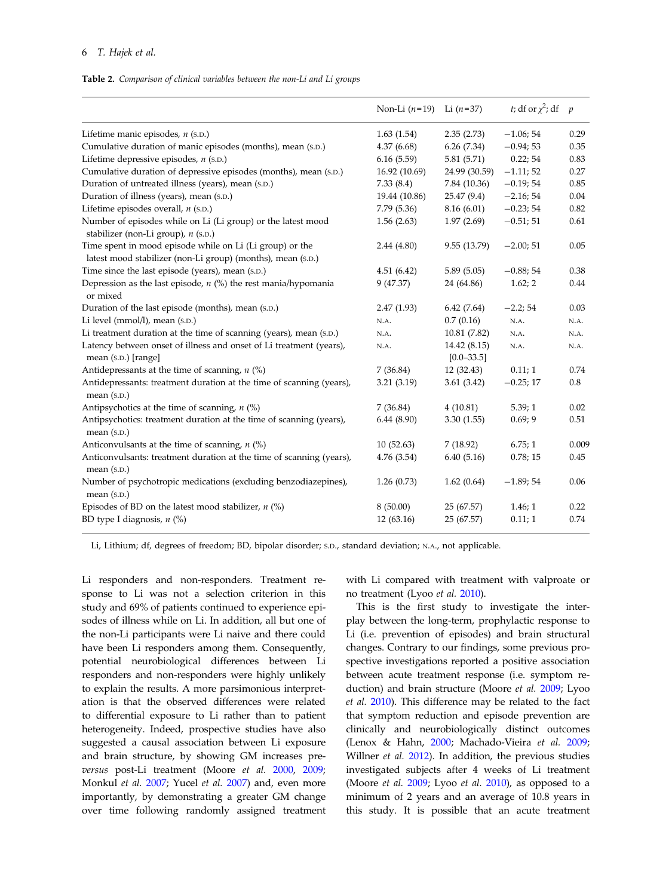<span id="page-6-0"></span>

|  | Table 2. Comparison of clinical variables between the non-Li and Li groups |  |  |  |  |  |  |  |  |
|--|----------------------------------------------------------------------------|--|--|--|--|--|--|--|--|
|--|----------------------------------------------------------------------------|--|--|--|--|--|--|--|--|

|                                                                                                                         | Non-Li $(n=19)$ Li $(n=37)$ |                                | t; df or $\chi^2$ ; df p |       |
|-------------------------------------------------------------------------------------------------------------------------|-----------------------------|--------------------------------|--------------------------|-------|
| Lifetime manic episodes, $n$ (s.p.)                                                                                     | 1.63(1.54)                  | 2.35(2.73)                     | $-1.06; 54$              | 0.29  |
| Cumulative duration of manic episodes (months), mean (s.D.)                                                             | 4.37(6.68)                  | 6.26(7.34)                     | $-0.94;53$               | 0.35  |
| Lifetime depressive episodes, $n$ (s.p.)                                                                                | 6.16(5.59)                  | 5.81 (5.71)                    | 0.22; 54                 | 0.83  |
| Cumulative duration of depressive episodes (months), mean (S.D.)                                                        | 16.92 (10.69)               | 24.99 (30.59)                  | $-1.11;52$               | 0.27  |
| Duration of untreated illness (years), mean (s.D.)                                                                      | 7.33(8.4)                   | 7.84 (10.36)                   | $-0.19; 54$              | 0.85  |
| Duration of illness (years), mean (s.p.)                                                                                | 19.44 (10.86)               | 25.47(9.4)                     | $-2.16; 54$              | 0.04  |
| Lifetime episodes overall, $n$ (s.p.)                                                                                   | 7.79(5.36)                  | 8.16(6.01)                     | $-0.23; 54$              | 0.82  |
| Number of episodes while on Li (Li group) or the latest mood<br>stabilizer (non-Li group), n (s.p.)                     | 1.56(2.63)                  | 1.97(2.69)                     | $-0.51; 51$              | 0.61  |
| Time spent in mood episode while on Li (Li group) or the<br>latest mood stabilizer (non-Li group) (months), mean (s.D.) | 2.44(4.80)                  | 9.55 (13.79)                   | $-2.00;51$               | 0.05  |
| Time since the last episode (years), mean (s.D.)                                                                        | 4.51(6.42)                  | 5.89(5.05)                     | $-0.88; 54$              | 0.38  |
| Depression as the last episode, $n$ (%) the rest mania/hypomania<br>or mixed                                            | 9 (47.37)                   | 24 (64.86)                     | 1.62; 2                  | 0.44  |
| Duration of the last episode (months), mean (s.D.)                                                                      | 2.47(1.93)                  | 6.42(7.64)                     | $-2.2; 54$               | 0.03  |
| Li level (mmol/l), mean (s.p.)                                                                                          | N.A.                        | 0.7(0.16)                      | N.A.                     | N.A.  |
| Li treatment duration at the time of scanning (years), mean (S.D.)                                                      | N.A.                        | 10.81 (7.82)                   | N.A.                     | N.A.  |
| Latency between onset of illness and onset of Li treatment (years),<br>mean (s.p.) [range]                              | N.A.                        | 14.42 (8.15)<br>$[0.0 - 33.5]$ | N.A.                     | N.A.  |
| Antidepressants at the time of scanning, $n$ (%)                                                                        | 7(36.84)                    | 12(32.43)                      | 0.11; 1                  | 0.74  |
| Antidepressants: treatment duration at the time of scanning (years),<br>mean (s.p.)                                     | 3.21(3.19)                  | 3.61(3.42)                     | $-0.25;17$               | 0.8   |
| Antipsychotics at the time of scanning, $n$ (%)                                                                         | 7(36.84)                    | 4(10.81)                       | 5.39;1                   | 0.02  |
| Antipsychotics: treatment duration at the time of scanning (years),<br>mean (s.p.)                                      | 6.44(8.90)                  | 3.30(1.55)                     | 0.69; 9                  | 0.51  |
| Anticonvulsants at the time of scanning, $n$ (%)                                                                        | 10(52.63)                   | 7(18.92)                       | 6.75;1                   | 0.009 |
| Anticonvulsants: treatment duration at the time of scanning (years),<br>mean (s.p.)                                     | 4.76(3.54)                  | 6.40(5.16)                     | 0.78; 15                 | 0.45  |
| Number of psychotropic medications (excluding benzodiazepines),<br>mean (s.p.)                                          | 1.26(0.73)                  | 1.62(0.64)                     | $-1.89;54$               | 0.06  |
| Episodes of BD on the latest mood stabilizer, $n$ (%)                                                                   | 8(50.00)                    | 25 (67.57)                     | 1.46; 1                  | 0.22  |
| BD type I diagnosis, $n$ (%)                                                                                            | 12 (63.16)                  | 25 (67.57)                     | 0.11; 1                  | 0.74  |

Li, Lithium; df, degrees of freedom; BD, bipolar disorder; S.D., standard deviation; N.A., not applicable.

Li responders and non-responders. Treatment response to Li was not a selection criterion in this study and 69% of patients continued to experience episodes of illness while on Li. In addition, all but one of the non-Li participants were Li naive and there could have been Li responders among them. Consequently, potential neurobiological differences between Li responders and non-responders were highly unlikely to explain the results. A more parsimonious interpretation is that the observed differences were related to differential exposure to Li rather than to patient heterogeneity. Indeed, prospective studies have also suggested a causal association between Li exposure and brain structure, by showing GM increases preversus post-Li treatment (Moore et al. [2000,](#page-11-0) [2009](#page-11-0); Monkul et al. [2007;](#page-11-0) Yucel et al. [2007\)](#page-11-0) and, even more importantly, by demonstrating a greater GM change over time following randomly assigned treatment

with Li compared with treatment with valproate or no treatment (Lyoo et al. [2010\)](#page-10-0).

This is the first study to investigate the interplay between the long-term, prophylactic response to Li (i.e. prevention of episodes) and brain structural changes. Contrary to our findings, some previous prospective investigations reported a positive association between acute treatment response (i.e. symptom re-duction) and brain structure (Moore et al. [2009;](#page-11-0) Lyoo et al. [2010\)](#page-10-0). This difference may be related to the fact that symptom reduction and episode prevention are clinically and neurobiologically distinct outcomes (Lenox & Hahn, [2000;](#page-10-0) Machado-Vieira et al. [2009](#page-10-0); Willner et al. [2012](#page-11-0)). In addition, the previous studies investigated subjects after 4 weeks of Li treatment (Moore et al. [2009](#page-11-0); Lyoo et al. [2010\)](#page-10-0), as opposed to a minimum of 2 years and an average of 10.8 years in this study. It is possible that an acute treatment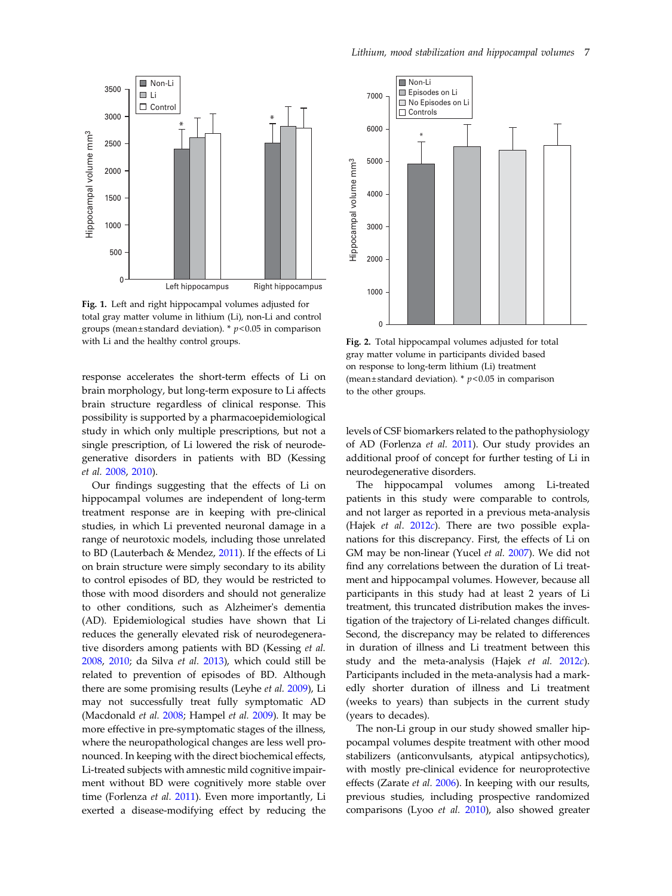<span id="page-7-0"></span>

Fig. 1. Left and right hippocampal volumes adjusted for total gray matter volume in lithium (Li), non-Li and control groups (mean±standard deviation). \*  $p$ <0.05 in comparison with Li and the healthy control groups.

response accelerates the short-term effects of Li on brain morphology, but long-term exposure to Li affects brain structure regardless of clinical response. This possibility is supported by a pharmacoepidemiological study in which only multiple prescriptions, but not a single prescription, of Li lowered the risk of neurodegenerative disorders in patients with BD (Kessing et al. [2008,](#page-10-0) [2010\)](#page-10-0).

Our findings suggesting that the effects of Li on hippocampal volumes are independent of long-term treatment response are in keeping with pre-clinical studies, in which Li prevented neuronal damage in a range of neurotoxic models, including those unrelated to BD (Lauterbach & Mendez, [2011\)](#page-10-0). If the effects of Li on brain structure were simply secondary to its ability to control episodes of BD, they would be restricted to those with mood disorders and should not generalize to other conditions, such as Alzheimer's dementia (AD). Epidemiological studies have shown that Li reduces the generally elevated risk of neurodegenerative disorders among patients with BD (Kessing et al. [2008,](#page-10-0) [2010;](#page-10-0) da Silva et al. [2013](#page-9-0)), which could still be related to prevention of episodes of BD. Although there are some promising results (Leyhe et al. [2009\)](#page-10-0), Li may not successfully treat fully symptomatic AD (Macdonald et al. [2008](#page-10-0); Hampel et al. [2009\)](#page-10-0). It may be more effective in pre-symptomatic stages of the illness, where the neuropathological changes are less well pronounced. In keeping with the direct biochemical effects, Li-treated subjects with amnestic mild cognitive impairment without BD were cognitively more stable over time (Forlenza et al. [2011](#page-10-0)). Even more importantly, Li exerted a disease-modifying effect by reducing the



Fig. 2. Total hippocampal volumes adjusted for total gray matter volume in participants divided based on response to long-term lithium (Li) treatment (mean  $\pm$  standard deviation). \*  $p$  < 0.05 in comparison to the other groups.

levels of CSF biomarkers related to the pathophysiology of AD (Forlenza et al. [2011\)](#page-10-0). Our study provides an additional proof of concept for further testing of Li in neurodegenerative disorders.

The hippocampal volumes among Li-treated patients in this study were comparable to controls, and not larger as reported in a previous meta-analysis (Hajek et al.  $2012c$  $2012c$ ). There are two possible explanations for this discrepancy. First, the effects of Li on GM may be non-linear (Yucel et al. [2007\)](#page-11-0). We did not find any correlations between the duration of Li treatment and hippocampal volumes. However, because all participants in this study had at least 2 years of Li treatment, this truncated distribution makes the investigation of the trajectory of Li-related changes difficult. Second, the discrepancy may be related to differences in duration of illness and Li treatment between this study and the meta-analysis (Hajek et al. [2012](#page-10-0)c). Participants included in the meta-analysis had a markedly shorter duration of illness and Li treatment (weeks to years) than subjects in the current study (years to decades).

The non-Li group in our study showed smaller hippocampal volumes despite treatment with other mood stabilizers (anticonvulsants, atypical antipsychotics), with mostly pre-clinical evidence for neuroprotective effects (Zarate et al. [2006](#page-11-0)). In keeping with our results, previous studies, including prospective randomized comparisons (Lyoo et al. [2010](#page-10-0)), also showed greater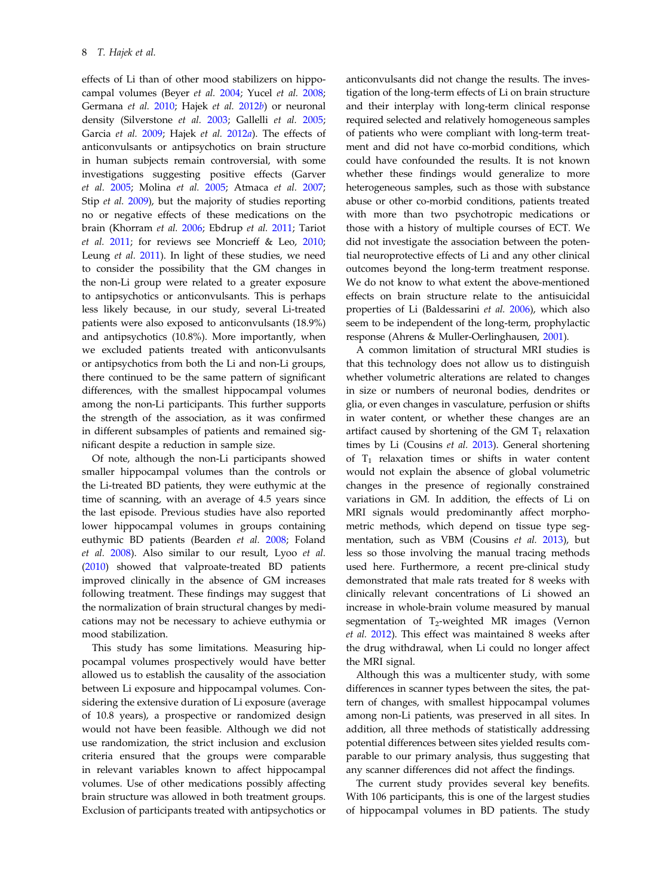effects of Li than of other mood stabilizers on hippocampal volumes (Beyer et al. [2004;](#page-9-0) Yucel et al. [2008](#page-11-0); Germana et al. [2010;](#page-10-0) Hajek et al. [2012](#page-10-0)b) or neuronal density (Silverstone et al. [2003;](#page-11-0) Gallelli et al. [2005](#page-10-0); Garcia et al. [2009](#page-10-0); Hajek et al. [2012](#page-10-0)a). The effects of anticonvulsants or antipsychotics on brain structure in human subjects remain controversial, with some investigations suggesting positive effects (Garver et al. [2005;](#page-10-0) Molina et al. [2005;](#page-10-0) Atmaca et al. [2007](#page-9-0); Stip et al. [2009\)](#page-11-0), but the majority of studies reporting no or negative effects of these medications on the brain (Khorram et al. [2006](#page-10-0); Ebdrup et al. [2011](#page-9-0); Tariot et al.  $2011$ ; for reviews see Moncrieff & Leo,  $2010$ ; Leung et al. [2011](#page-10-0)). In light of these studies, we need to consider the possibility that the GM changes in the non-Li group were related to a greater exposure to antipsychotics or anticonvulsants. This is perhaps less likely because, in our study, several Li-treated patients were also exposed to anticonvulsants (18.9%) and antipsychotics (10.8%). More importantly, when we excluded patients treated with anticonvulsants or antipsychotics from both the Li and non-Li groups, there continued to be the same pattern of significant differences, with the smallest hippocampal volumes among the non-Li participants. This further supports the strength of the association, as it was confirmed in different subsamples of patients and remained significant despite a reduction in sample size.

Of note, although the non-Li participants showed smaller hippocampal volumes than the controls or the Li-treated BD patients, they were euthymic at the time of scanning, with an average of 4.5 years since the last episode. Previous studies have also reported lower hippocampal volumes in groups containing euthymic BD patients (Bearden et al. [2008;](#page-9-0) Foland et al. [2008\)](#page-9-0). Also similar to our result, Lyoo et al. ([2010\)](#page-10-0) showed that valproate-treated BD patients improved clinically in the absence of GM increases following treatment. These findings may suggest that the normalization of brain structural changes by medications may not be necessary to achieve euthymia or mood stabilization.

This study has some limitations. Measuring hippocampal volumes prospectively would have better allowed us to establish the causality of the association between Li exposure and hippocampal volumes. Considering the extensive duration of Li exposure (average of 10.8 years), a prospective or randomized design would not have been feasible. Although we did not use randomization, the strict inclusion and exclusion criteria ensured that the groups were comparable in relevant variables known to affect hippocampal volumes. Use of other medications possibly affecting brain structure was allowed in both treatment groups. Exclusion of participants treated with antipsychotics or

anticonvulsants did not change the results. The investigation of the long-term effects of Li on brain structure and their interplay with long-term clinical response required selected and relatively homogeneous samples of patients who were compliant with long-term treatment and did not have co-morbid conditions, which could have confounded the results. It is not known whether these findings would generalize to more heterogeneous samples, such as those with substance abuse or other co-morbid conditions, patients treated with more than two psychotropic medications or those with a history of multiple courses of ECT. We did not investigate the association between the potential neuroprotective effects of Li and any other clinical outcomes beyond the long-term treatment response. We do not know to what extent the above-mentioned effects on brain structure relate to the antisuicidal properties of Li (Baldessarini et al. [2006\)](#page-9-0), which also seem to be independent of the long-term, prophylactic response (Ahrens & Muller-Oerlinghausen, [2001](#page-9-0)).

A common limitation of structural MRI studies is that this technology does not allow us to distinguish whether volumetric alterations are related to changes in size or numbers of neuronal bodies, dendrites or glia, or even changes in vasculature, perfusion or shifts in water content, or whether these changes are an artifact caused by shortening of the GM  $T_1$  relaxation times by Li (Cousins et al. [2013\)](#page-9-0). General shortening of  $T_1$  relaxation times or shifts in water content would not explain the absence of global volumetric changes in the presence of regionally constrained variations in GM. In addition, the effects of Li on MRI signals would predominantly affect morphometric methods, which depend on tissue type segmentation, such as VBM (Cousins et al. [2013](#page-9-0)), but less so those involving the manual tracing methods used here. Furthermore, a recent pre-clinical study demonstrated that male rats treated for 8 weeks with clinically relevant concentrations of Li showed an increase in whole-brain volume measured by manual segmentation of  $T_2$ -weighted MR images (Vernon et al. [2012\)](#page-11-0). This effect was maintained 8 weeks after the drug withdrawal, when Li could no longer affect the MRI signal.

Although this was a multicenter study, with some differences in scanner types between the sites, the pattern of changes, with smallest hippocampal volumes among non-Li patients, was preserved in all sites. In addition, all three methods of statistically addressing potential differences between sites yielded results comparable to our primary analysis, thus suggesting that any scanner differences did not affect the findings.

The current study provides several key benefits. With 106 participants, this is one of the largest studies of hippocampal volumes in BD patients. The study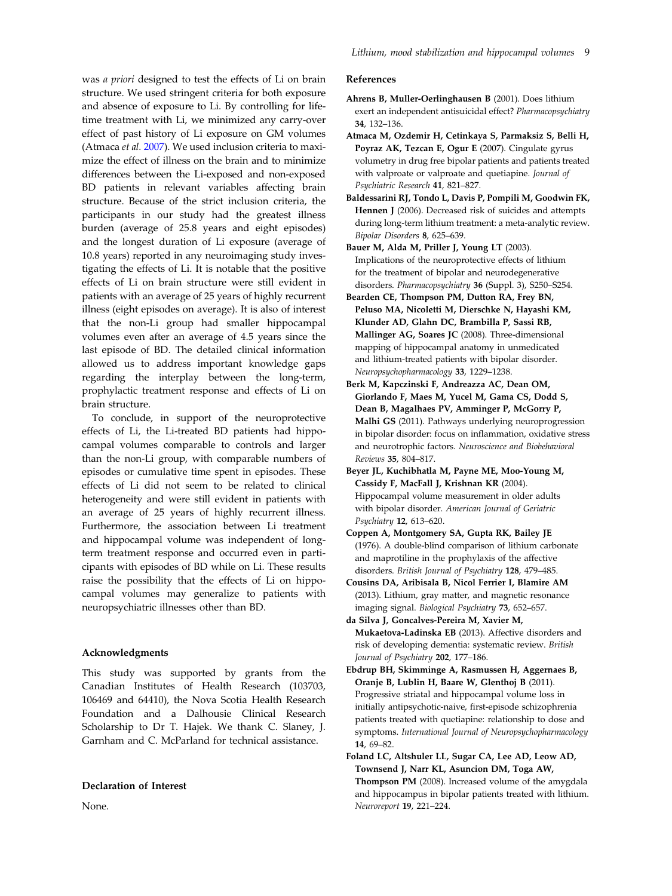<span id="page-9-0"></span>was a priori designed to test the effects of Li on brain structure. We used stringent criteria for both exposure and absence of exposure to Li. By controlling for lifetime treatment with Li, we minimized any carry-over effect of past history of Li exposure on GM volumes (Atmaca et al. 2007). We used inclusion criteria to maximize the effect of illness on the brain and to minimize differences between the Li-exposed and non-exposed BD patients in relevant variables affecting brain structure. Because of the strict inclusion criteria, the participants in our study had the greatest illness burden (average of 25.8 years and eight episodes) and the longest duration of Li exposure (average of 10.8 years) reported in any neuroimaging study investigating the effects of Li. It is notable that the positive effects of Li on brain structure were still evident in patients with an average of 25 years of highly recurrent illness (eight episodes on average). It is also of interest that the non-Li group had smaller hippocampal volumes even after an average of 4.5 years since the last episode of BD. The detailed clinical information allowed us to address important knowledge gaps regarding the interplay between the long-term, prophylactic treatment response and effects of Li on brain structure.

To conclude, in support of the neuroprotective effects of Li, the Li-treated BD patients had hippocampal volumes comparable to controls and larger than the non-Li group, with comparable numbers of episodes or cumulative time spent in episodes. These effects of Li did not seem to be related to clinical heterogeneity and were still evident in patients with an average of 25 years of highly recurrent illness. Furthermore, the association between Li treatment and hippocampal volume was independent of longterm treatment response and occurred even in participants with episodes of BD while on Li. These results raise the possibility that the effects of Li on hippocampal volumes may generalize to patients with neuropsychiatric illnesses other than BD.

#### Acknowledgments

This study was supported by grants from the Canadian Institutes of Health Research (103703, 106469 and 64410), the Nova Scotia Health Research Foundation and a Dalhousie Clinical Research Scholarship to Dr T. Hajek. We thank C. Slaney, J. Garnham and C. McParland for technical assistance.

#### Declaration of Interest

None.

#### References

- Ahrens B, Muller-Oerlinghausen B (2001). Does lithium exert an independent antisuicidal effect? Pharmacopsychiatry 34, 132–136.
- Atmaca M, Ozdemir H, Cetinkaya S, Parmaksiz S, Belli H, Poyraz AK, Tezcan E, Ogur E (2007). Cingulate gyrus volumetry in drug free bipolar patients and patients treated with valproate or valproate and quetiapine. Journal of Psychiatric Research 41, 821–827.
- Baldessarini RJ, Tondo L, Davis P, Pompili M, Goodwin FK, Hennen J (2006). Decreased risk of suicides and attempts during long-term lithium treatment: a meta-analytic review. Bipolar Disorders 8, 625–639.
- Bauer M, Alda M, Priller J, Young LT (2003). Implications of the neuroprotective effects of lithium for the treatment of bipolar and neurodegenerative disorders. Pharmacopsychiatry 36 (Suppl. 3), S250–S254.
- Bearden CE, Thompson PM, Dutton RA, Frey BN, Peluso MA, Nicoletti M, Dierschke N, Hayashi KM, Klunder AD, Glahn DC, Brambilla P, Sassi RB, Mallinger AG, Soares JC (2008). Three-dimensional mapping of hippocampal anatomy in unmedicated and lithium-treated patients with bipolar disorder. Neuropsychopharmacology 33, 1229–1238.
- Berk M, Kapczinski F, Andreazza AC, Dean OM, Giorlando F, Maes M, Yucel M, Gama CS, Dodd S, Dean B, Magalhaes PV, Amminger P, McGorry P, Malhi GS (2011). Pathways underlying neuroprogression in bipolar disorder: focus on inflammation, oxidative stress and neurotrophic factors. Neuroscience and Biobehavioral Reviews 35, 804–817.
- Beyer JL, Kuchibhatla M, Payne ME, Moo-Young M, Cassidy F, MacFall J, Krishnan KR (2004). Hippocampal volume measurement in older adults with bipolar disorder. American Journal of Geriatric Psychiatry 12, 613–620.
- Coppen A, Montgomery SA, Gupta RK, Bailey JE (1976). A double-blind comparison of lithium carbonate and maprotiline in the prophylaxis of the affective disorders. British Journal of Psychiatry 128, 479–485.
- Cousins DA, Aribisala B, Nicol Ferrier I, Blamire AM (2013). Lithium, gray matter, and magnetic resonance imaging signal. Biological Psychiatry 73, 652–657.
- da Silva J, Goncalves-Pereira M, Xavier M, Mukaetova-Ladinska EB (2013). Affective disorders and risk of developing dementia: systematic review. British Journal of Psychiatry 202, 177–186.
- Ebdrup BH, Skimminge A, Rasmussen H, Aggernaes B, Oranje B, Lublin H, Baare W, Glenthoj B (2011). Progressive striatal and hippocampal volume loss in initially antipsychotic-naive, first-episode schizophrenia patients treated with quetiapine: relationship to dose and symptoms. International Journal of Neuropsychopharmacology 14, 69–82.
- Foland LC, Altshuler LL, Sugar CA, Lee AD, Leow AD, Townsend J, Narr KL, Asuncion DM, Toga AW, Thompson PM (2008). Increased volume of the amygdala and hippocampus in bipolar patients treated with lithium. Neuroreport 19, 221–224.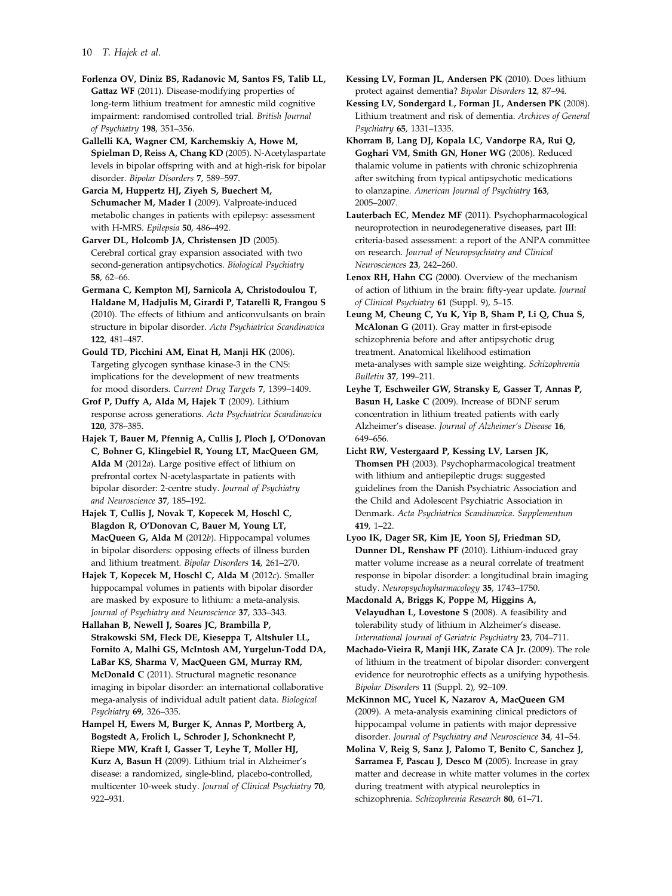<span id="page-10-0"></span>10 T. Hajek et al.

Forlenza OV, Diniz BS, Radanovic M, Santos FS, Talib LL, Gattaz WF (2011). Disease-modifying properties of long-term lithium treatment for amnestic mild cognitive impairment: randomised controlled trial. British Journal of Psychiatry 198, 351–356.

Gallelli KA, Wagner CM, Karchemskiy A, Howe M, Spielman D, Reiss A, Chang KD (2005). N-Acetylaspartate levels in bipolar offspring with and at high-risk for bipolar disorder. Bipolar Disorders 7, 589–597.

Garcia M, Huppertz HJ, Ziyeh S, Buechert M, Schumacher M, Mader I (2009). Valproate-induced metabolic changes in patients with epilepsy: assessment with H-MRS. Epilepsia 50, 486–492.

Garver DL, Holcomb JA, Christensen JD (2005). Cerebral cortical gray expansion associated with two second-generation antipsychotics. Biological Psychiatry 58, 62–66.

Germana C, Kempton MJ, Sarnicola A, Christodoulou T, Haldane M, Hadjulis M, Girardi P, Tatarelli R, Frangou S (2010). The effects of lithium and anticonvulsants on brain structure in bipolar disorder. Acta Psychiatrica Scandinavica 122, 481–487.

Gould TD, Picchini AM, Einat H, Manji HK (2006). Targeting glycogen synthase kinase-3 in the CNS: implications for the development of new treatments for mood disorders. Current Drug Targets 7, 1399–1409.

Grof P, Duffy A, Alda M, Hajek T (2009). Lithium response across generations. Acta Psychiatrica Scandinavica 120, 378–385.

Hajek T, Bauer M, Pfennig A, Cullis J, Ploch J, O'Donovan C, Bohner G, Klingebiel R, Young LT, MacQueen GM, Alda M (2012a). Large positive effect of lithium on prefrontal cortex N-acetylaspartate in patients with bipolar disorder: 2-centre study. Journal of Psychiatry and Neuroscience 37, 185–192.

Hajek T, Cullis J, Novak T, Kopecek M, Hoschl C, Blagdon R, O'Donovan C, Bauer M, Young LT, MacQueen G, Alda M (2012b). Hippocampal volumes in bipolar disorders: opposing effects of illness burden and lithium treatment. Bipolar Disorders 14, 261–270.

Hajek T, Kopecek M, Hoschl C, Alda M (2012c). Smaller hippocampal volumes in patients with bipolar disorder are masked by exposure to lithium: a meta-analysis. Journal of Psychiatry and Neuroscience 37, 333–343.

Hallahan B, Newell J, Soares JC, Brambilla P, Strakowski SM, Fleck DE, Kieseppa T, Altshuler LL, Fornito A, Malhi GS, McIntosh AM, Yurgelun-Todd DA, LaBar KS, Sharma V, MacQueen GM, Murray RM, McDonald C (2011). Structural magnetic resonance imaging in bipolar disorder: an international collaborative mega-analysis of individual adult patient data. Biological Psychiatry 69, 326–335.

Hampel H, Ewers M, Burger K, Annas P, Mortberg A, Bogstedt A, Frolich L, Schroder J, Schonknecht P, Riepe MW, Kraft I, Gasser T, Leyhe T, Moller HJ, Kurz A, Basun H (2009). Lithium trial in Alzheimer's disease: a randomized, single-blind, placebo-controlled, multicenter 10-week study. Journal of Clinical Psychiatry 70, 922–931.

Kessing LV, Forman JL, Andersen PK (2010). Does lithium protect against dementia? Bipolar Disorders 12, 87–94.

Kessing LV, Sondergard L, Forman JL, Andersen PK (2008). Lithium treatment and risk of dementia. Archives of General Psychiatry 65, 1331–1335.

Khorram B, Lang DJ, Kopala LC, Vandorpe RA, Rui Q, Goghari VM, Smith GN, Honer WG (2006). Reduced thalamic volume in patients with chronic schizophrenia after switching from typical antipsychotic medications to olanzapine. American Journal of Psychiatry 163, 2005–2007.

Lauterbach EC, Mendez MF (2011). Psychopharmacological neuroprotection in neurodegenerative diseases, part III: criteria-based assessment: a report of the ANPA committee on research. Journal of Neuropsychiatry and Clinical Neurosciences 23, 242–260.

Lenox RH, Hahn CG (2000). Overview of the mechanism of action of lithium in the brain: fifty-year update. Journal of Clinical Psychiatry 61 (Suppl. 9), 5–15.

Leung M, Cheung C, Yu K, Yip B, Sham P, Li Q, Chua S, McAlonan G (2011). Gray matter in first-episode schizophrenia before and after antipsychotic drug treatment. Anatomical likelihood estimation meta-analyses with sample size weighting. Schizophrenia Bulletin 37, 199–211.

Leyhe T, Eschweiler GW, Stransky E, Gasser T, Annas P, Basun H, Laske C (2009). Increase of BDNF serum concentration in lithium treated patients with early Alzheimer's disease. Journal of Alzheimer*'*s Disease 16, 649–656.

Licht RW, Vestergaard P, Kessing LV, Larsen JK, Thomsen PH (2003). Psychopharmacological treatment with lithium and antiepileptic drugs: suggested guidelines from the Danish Psychiatric Association and the Child and Adolescent Psychiatric Association in Denmark. Acta Psychiatrica Scandinavica. Supplementum 419, 1–22.

Lyoo IK, Dager SR, Kim JE, Yoon SJ, Friedman SD, Dunner DL, Renshaw PF (2010). Lithium-induced gray matter volume increase as a neural correlate of treatment response in bipolar disorder: a longitudinal brain imaging study. Neuropsychopharmacology 35, 1743–1750.

Macdonald A, Briggs K, Poppe M, Higgins A, Velayudhan L, Lovestone S (2008). A feasibility and tolerability study of lithium in Alzheimer's disease. International Journal of Geriatric Psychiatry 23, 704–711.

Machado-Vieira R, Manji HK, Zarate CA Jr. (2009). The role of lithium in the treatment of bipolar disorder: convergent evidence for neurotrophic effects as a unifying hypothesis. Bipolar Disorders 11 (Suppl. 2), 92–109.

McKinnon MC, Yucel K, Nazarov A, MacQueen GM (2009). A meta-analysis examining clinical predictors of hippocampal volume in patients with major depressive disorder. Journal of Psychiatry and Neuroscience 34, 41–54.

Molina V, Reig S, Sanz J, Palomo T, Benito C, Sanchez J, Sarramea F, Pascau J, Desco M (2005). Increase in gray matter and decrease in white matter volumes in the cortex during treatment with atypical neuroleptics in schizophrenia. Schizophrenia Research 80, 61–71.